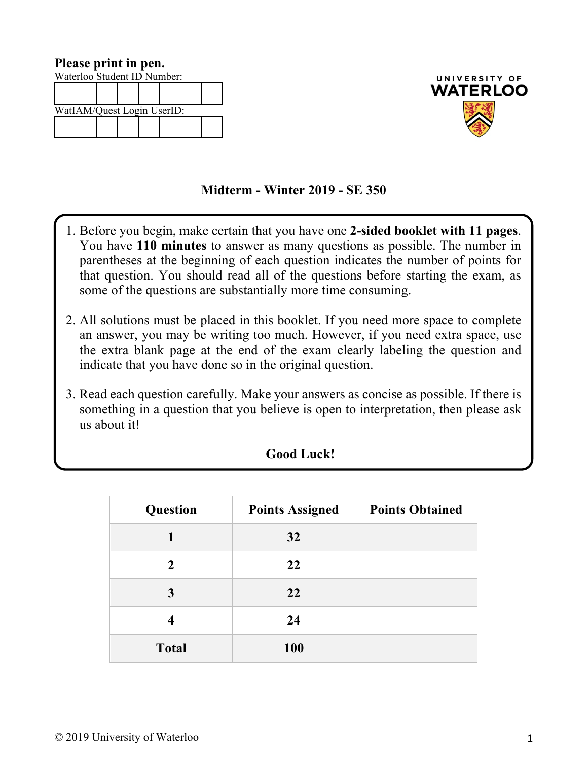| Please print in pen.        |  |  |  |  |  |  |
|-----------------------------|--|--|--|--|--|--|
| Waterloo Student ID Number: |  |  |  |  |  |  |
|                             |  |  |  |  |  |  |
|                             |  |  |  |  |  |  |
| WatIAM/Quest Login UserID:  |  |  |  |  |  |  |
|                             |  |  |  |  |  |  |
|                             |  |  |  |  |  |  |



## **Midterm - Winter 2019 - SE 350**

- 1. Before you begin, make certain that you have one **2-sided booklet with 11 pages**. You have **110 minutes** to answer as many questions as possible. The number in parentheses at the beginning of each question indicates the number of points for that question. You should read all of the questions before starting the exam, as some of the questions are substantially more time consuming.
- 2. All solutions must be placed in this booklet. If you need more space to complete an answer, you may be writing too much. However, if you need extra space, use the extra blank page at the end of the exam clearly labeling the question and indicate that you have done so in the original question.
- 3. Read each question carefully. Make your answers as concise as possible. If there is something in a question that you believe is open to interpretation, then please ask us about it!

| Question     | <b>Points Assigned</b> | <b>Points Obtained</b> |
|--------------|------------------------|------------------------|
|              | 32                     |                        |
| $\mathbf{2}$ | 22                     |                        |
| 3            | 22                     |                        |
| 4            | 24                     |                        |
| <b>Total</b> | <b>100</b>             |                        |

## **Good Luck!**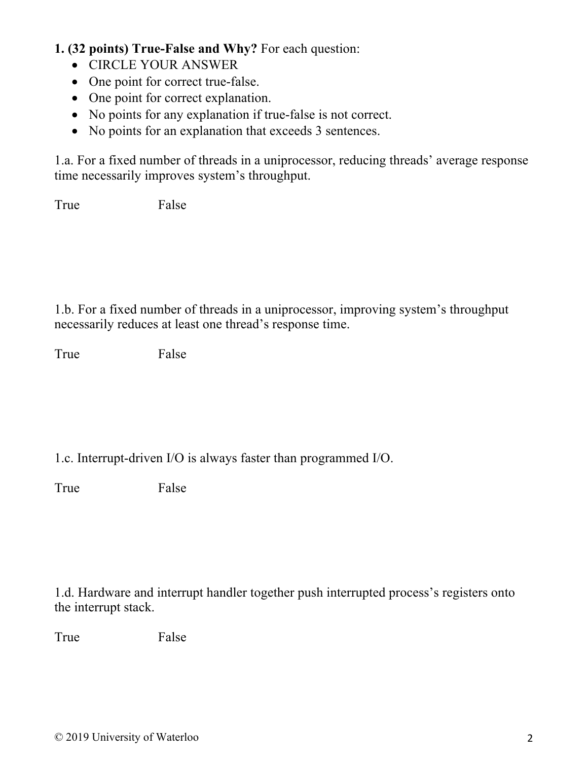## **1. (32 points) True-False and Why?** For each question:

- CIRCLE YOUR ANSWER
- One point for correct true-false.
- One point for correct explanation.
- No points for any explanation if true-false is not correct.
- No points for an explanation that exceeds 3 sentences.

1.a. For a fixed number of threads in a uniprocessor, reducing threads' average response time necessarily improves system's throughput.

True False

1.b. For a fixed number of threads in a uniprocessor, improving system's throughput necessarily reduces at least one thread's response time.

True False

1.c. Interrupt-driven I/O is always faster than programmed I/O.

True False

1.d. Hardware and interrupt handler together push interrupted process's registers onto the interrupt stack.

True False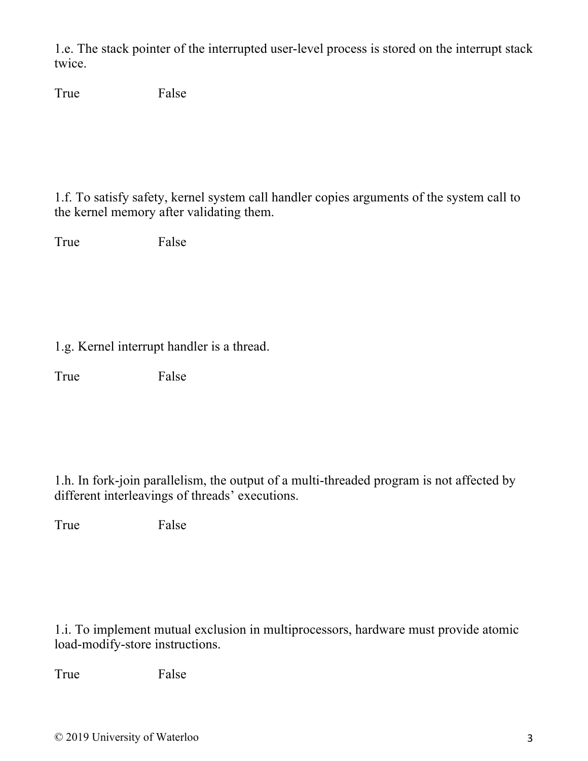1.e. The stack pointer of the interrupted user-level process is stored on the interrupt stack twice.

True False

1.f. To satisfy safety, kernel system call handler copies arguments of the system call to the kernel memory after validating them.

True False

1.g. Kernel interrupt handler is a thread.

True False

1.h. In fork-join parallelism, the output of a multi-threaded program is not affected by different interleavings of threads' executions.

True False

1.i. To implement mutual exclusion in multiprocessors, hardware must provide atomic load-modify-store instructions.

True False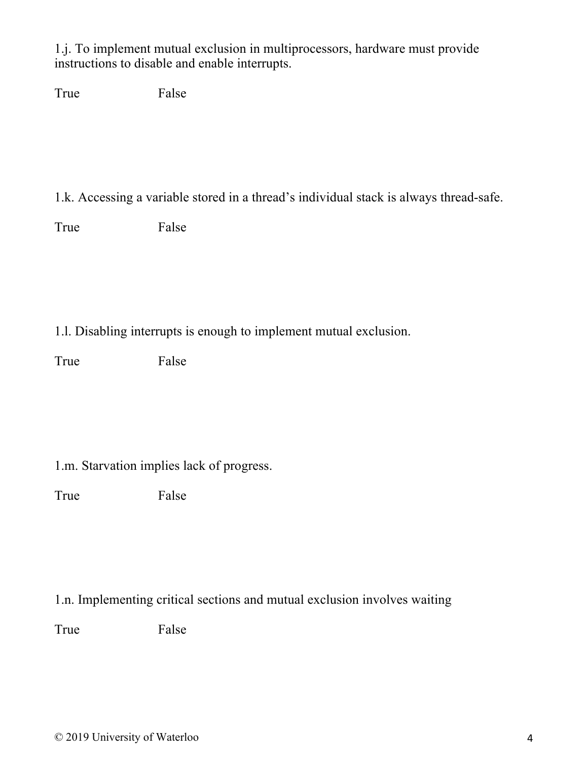1.j. To implement mutual exclusion in multiprocessors, hardware must provide instructions to disable and enable interrupts.

True False

1.k. Accessing a variable stored in a thread's individual stack is always thread-safe.

True False

1.l. Disabling interrupts is enough to implement mutual exclusion.

True False

1.m. Starvation implies lack of progress.

True False

1.n. Implementing critical sections and mutual exclusion involves waiting

True False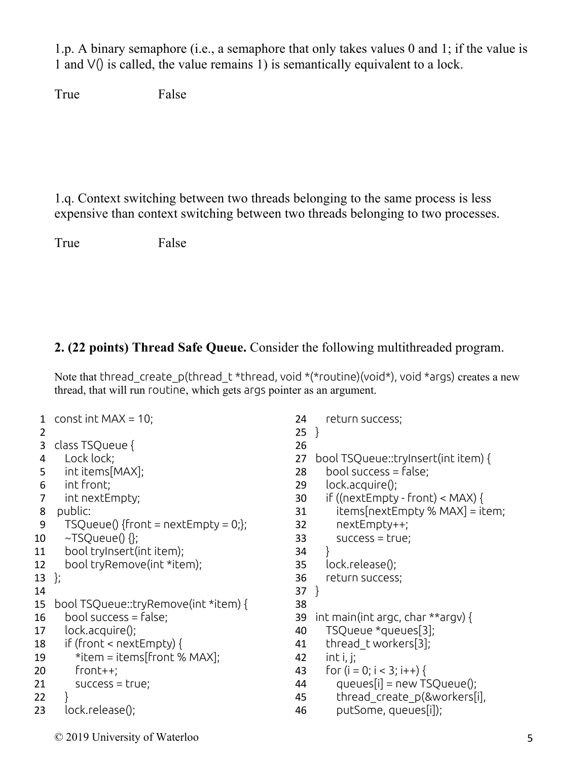1.p. A binary semaphore (i.e., a semaphore that only takes values 0 and 1; if the value is 1 and V() is called, the value remains 1) is semantically equivalent to a lock.

True False

1.q. Context switching between two threads belonging to the same process is less expensive than context switching between two threads belonging to two processes.

```
True False
```
## **2. (22 points) Thread Safe Queue.** Consider the following multithreaded program.

Note that thread create p(thread t \*thread, void \*(\*routine)(void\*), void \*args) creates a new thread, that will run routine, which gets args pointer as an argument.

```
1 const int MAX = 10;
 2
 3 class TSQueue {
 4 Lock lock;
 5 int items[MAX];
 6 int front;
 7 int nextEmpty;
 8 public:
 9 TSQueue() {front = nextEmpty = 0;};
10 \sim TSQueue() \Omega;
11 bool tryInsert(int item);
12 bool tryRemove(int *item);
13 };
14
15 bool TSQueue::tryRemove(int *item) {
16 bool success = false;17 lock.acquire();
18 if (front < nextEmpty) {
19 *item = items[front % MAX];
20 front++;
21 success = true;
22 }
23 lock.release();
                                               24 return success;
                                               25 }
                                               26
                                               27 bool TSQueue::tryInsert(int item) {
                                               28 bool success = false:
                                               29 lock.acquire();
                                               30 if ((nextEmpty - front) < MAX) {
                                               31 items[nextEmpty % MAX] = item;
                                               32 nextEmpty++;
                                               33 success = true;
                                               34 }
                                               35 lock.release();
                                               36 return success;
                                               37 }
                                               38
                                               39 int main(int argc, char **argv) {
                                               40 TSQueue *queues[3];
                                               41 thread tworkers[3];
                                               42 int i, j;
                                               43 for (i = 0; i < 3; i++)44 \qquad \text{queues}[i] = \text{new} \text{TSQueue}45 thread_create_p(&workers[i],
                                               46 putSome, queues[i]);
```
© 2019 University of Waterloo 5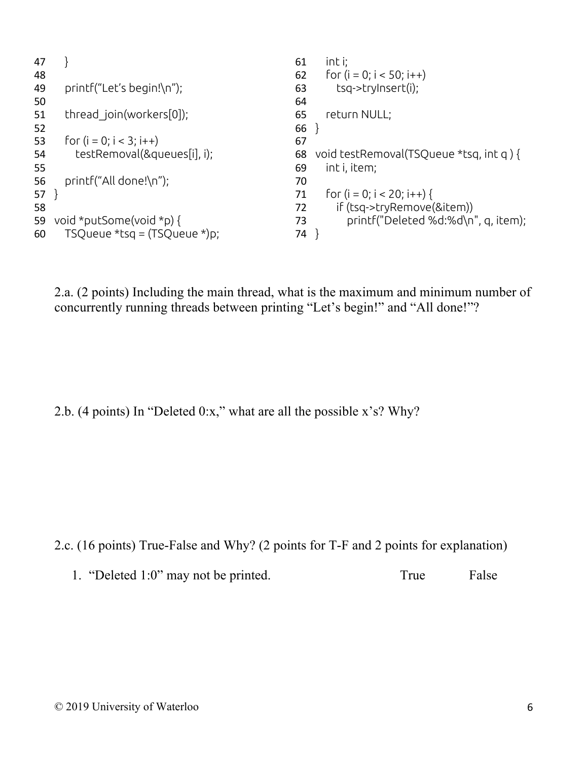```
47 }
48
49 printf("Let's begin!\n");
50
51 thread join(workers[0]);
52
53 for (i = 0; i < 3; i++)54 testRemoval(&queues[i], i);
55
56 printf("All done!\n");
57 }
58
59 void *putSome(void *p) {
60 TSQueue *tsq = (TSQueue *)p;
                                              61 int i;
                                              62 for (i = 0; i < 50; i++)63 tsq->tryInsert(i);
                                              64
                                              65 return NULL;
                                              66 }
                                              67
                                              68 void testRemoval(TSQueue *tsq, int q ) {
                                              69 int i, item;
                                              70
                                              71 for (i = 0; i < 20; i++)72 if (tsq->tryRemove(&item))
                                              73 printf("Deleted %d:%d\n", q, item);
                                              74 }
```
2.a. (2 points) Including the main thread, what is the maximum and minimum number of concurrently running threads between printing "Let's begin!" and "All done!"?

2.b. (4 points) In "Deleted 0:x," what are all the possible x's? Why?

2.c. (16 points) True-False and Why? (2 points for T-F and 2 points for explanation)

1. "Deleted 1:0" may not be printed. True False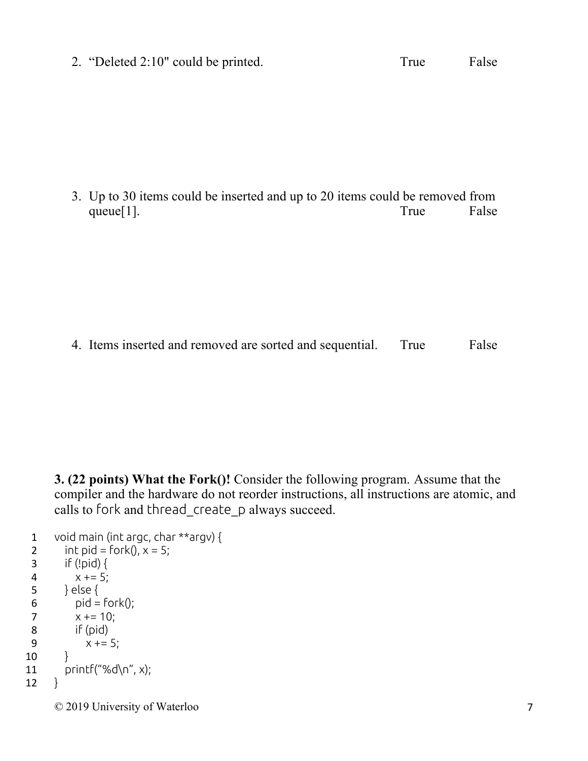2. "Deleted 2:10" could be printed. True False

3. Up to 30 items could be inserted and up to 20 items could be removed from queue[1]. True False

4. Items inserted and removed are sorted and sequential. True False

**3. (22 points) What the Fork()!** Consider the following program. Assume that the compiler and the hardware do not reorder instructions, all instructions are atomic, and calls to fork and thread\_create\_p always succeed.

```
1 void main (int argc, char **argv) {
2 int pid = fork(), x = 5;
3 if (!pid) {
4 x += 5;5 } else {
6 pid = fork();
7 x += 10;8 if (pid)
9 x += 5;
10 }
11 printf("%d\n", x);
12 }
```
© 2019 University of Waterloo 7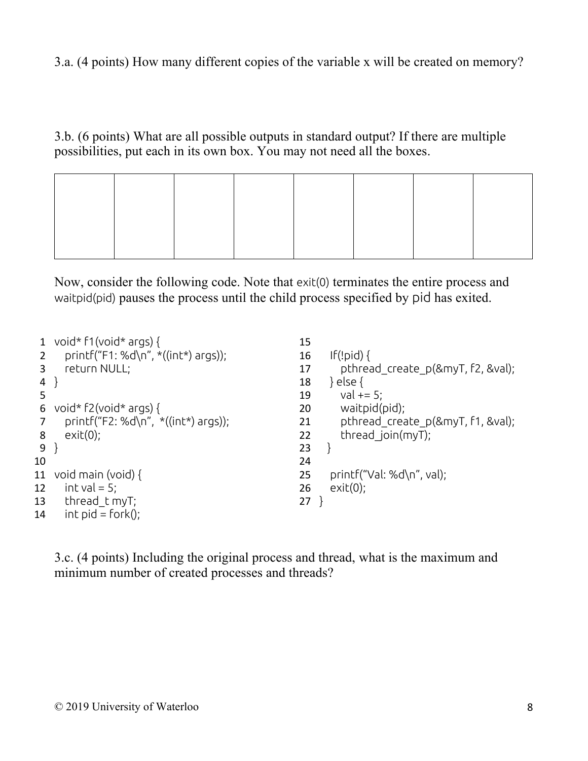3.a. (4 points) How many different copies of the variable x will be created on memory?

3.b. (6 points) What are all possible outputs in standard output? If there are multiple possibilities, put each in its own box. You may not need all the boxes.

Now, consider the following code. Note that exit(0) terminates the entire process and waitpid(pid) pauses the process until the child process specified by pid has exited.

|    | void* $f1$ (void* args) {              | 15                                      |  |
|----|----------------------------------------|-----------------------------------------|--|
|    | printf("F1: %d\n", *((int*) args));    | If (ipid)<br>16                         |  |
|    | return NULL;                           | pthread_create_p(&myT, f2, &val);<br>17 |  |
| 4  |                                        | } else {<br>18                          |  |
| 5  |                                        | val $+= 5$ ;<br>19                      |  |
| 6  | void* $f2(void* args)$ {               | waitpid(pid);<br>20                     |  |
|    | printf("F2: %d\n", $*($ (int*) args)); | pthread create p(&myT, f1, &val);<br>21 |  |
| 8  | $exit(0)$ ;                            | thread join( $myT$ );<br>22             |  |
| 9  |                                        | 23                                      |  |
| 10 |                                        | 24                                      |  |
| 11 | void main (void) $\{$                  | printf("Val: %d\n", val);<br>25         |  |
| 12 | int val = $5$ ;                        | exit(0);<br>26                          |  |
| 13 | thread t myT;                          | 27                                      |  |
| 14 | $int$ pid = fork();                    |                                         |  |

3.c. (4 points) Including the original process and thread, what is the maximum and minimum number of created processes and threads?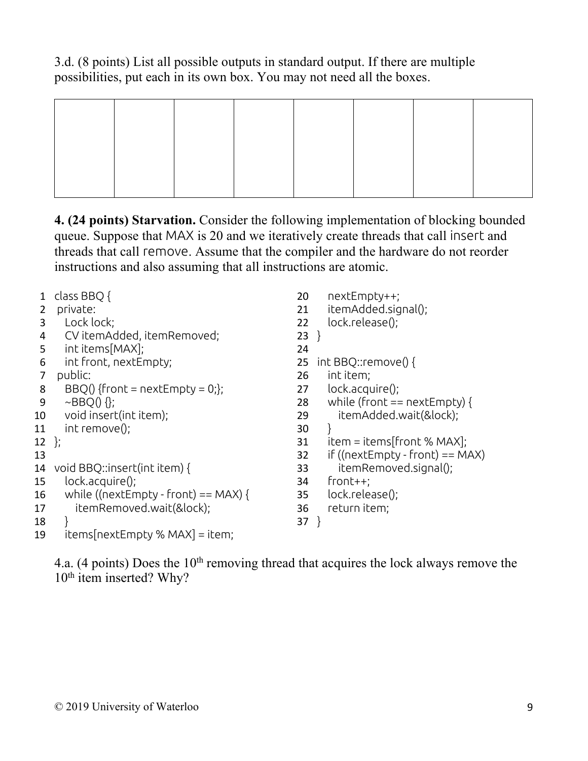3.d. (8 points) List all possible outputs in standard output. If there are multiple possibilities, put each in its own box. You may not need all the boxes.

**4. (24 points) Starvation.** Consider the following implementation of blocking bounded queue. Suppose that MAX is 20 and we iteratively create threads that call insert and threads that call remove. Assume that the compiler and the hardware do not reorder instructions and also assuming that all instructions are atomic.

|    | class BBQ {                          | 20<br>nextEmpty++;                       |
|----|--------------------------------------|------------------------------------------|
| 2  | private:                             | itemAdded.signal();<br>21                |
| 3  | Lock lock;                           | lock.release();<br>22                    |
| 4  | CV itemAdded, itemRemoved;           | $23$ }                                   |
| 5  | int items[MAX];                      | 24                                       |
| 6  | int front, nextEmpty;                | int BBQ::remove() {<br>25                |
| 7  | public:                              | int item;<br>26                          |
| 8  | $BBQ()$ {front = nextEmpty = 0;};    | lock.acquire();<br>27                    |
| 9  | $\sim$ BBQ $() \{$ };                | while (front $==$ nextEmpty) {<br>28     |
| 10 | void insert(int item);               | itemAdded.wait(&lock);<br>29             |
| 11 | int remove();                        | 30                                       |
| 12 | $\cdot$                              | $item = items[front % MAX];$<br>31       |
| 13 |                                      | if (( $nextEmpty$ - front) == MAX)<br>32 |
| 14 | void BBQ::insert(int item) {         | itemRemoved.signal();<br>33              |
| 15 | lock.acquire();                      | $front++;$<br>34                         |
| 16 | while ((nextEmpty - front) == MAX) { | lock.release();<br>35                    |
| 17 | itemRemoved.wait(&lock);             | return item;<br>36                       |
| 18 |                                      | $37$ }                                   |
| 19 | $items[nextEmpty % MAX] = item;$     |                                          |

4.a. (4 points) Does the  $10<sup>th</sup>$  removing thread that acquires the lock always remove the 10<sup>th</sup> item inserted? Why?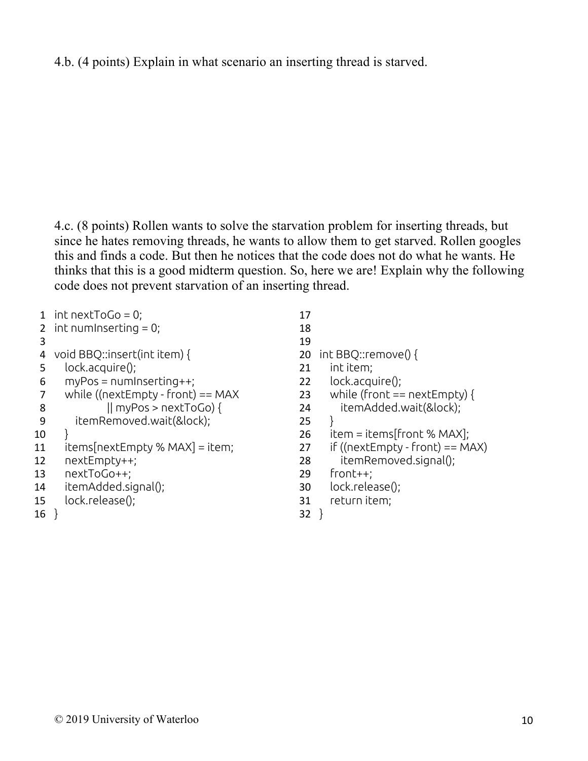4.b. (4 points) Explain in what scenario an inserting thread is starved.

4.c. (8 points) Rollen wants to solve the starvation problem for inserting threads, but since he hates removing threads, he wants to allow them to get starved. Rollen googles this and finds a code. But then he notices that the code does not do what he wants. He thinks that this is a good midterm question. So, here we are! Explain why the following code does not prevent starvation of an inserting thread.

- 1 int next $ToGo = 0$ ;
- 2 int numInserting  $= 0$ ;
- 3
- 4 void BBQ::insert(int item) {
- 5 lock.acquire();
- $6$  myPos = numInserting $++$ ;
- 7 while ((nextEmpty front)  $==$  MAX
- 8 || myPos > nextToGo) {
- 9 itemRemoved.wait(&lock);
- $10 \quad \}$
- 11  $itemsh$ Empty % MAX] = item;
- 12 nextEmpty++;
- 13 nextToGo++;
- 14 itemAdded.signal();
- 15 lock.release();
- 16 }
- 17 18 19 20 int BBQ::remove() { 21 int item; 22 lock.acquire(); 23 while (front  $==$  nextEmpty) { 24 itemAdded.wait(&lock);  $25 \quad \}$ 26 item = items[front % MAX]; 27 if  $((nextEmpty - front) == MAX)$ 28 itemRemoved.signal(); 29 front++; 30 lock.release(); 31 return item;
- 32 }